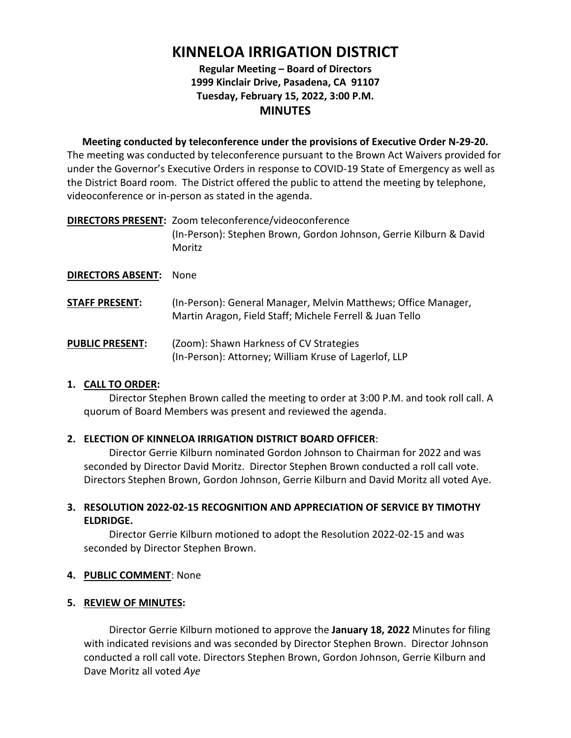# **KINNELOA IRRIGATION DISTRICT**

# **Regular Meeting – Board of Directors 1999 Kinclair Drive, Pasadena, CA 91107 Tuesday, February 15, 2022, 3:00 P.M. MINUTES**

**Meeting conducted by teleconference under the provisions of Executive Order N-29-20.** The meeting was conducted by teleconference pursuant to the Brown Act Waivers provided for under the Governor's Executive Orders in response to COVID-19 State of Emergency as well as the District Board room. The District offered the public to attend the meeting by telephone, videoconference or in-person as stated in the agenda.

| <b>DIRECTORS PRESENT: Zoom teleconference/videoconference</b>                |
|------------------------------------------------------------------------------|
| (In-Person): Stephen Brown, Gordon Johnson, Gerrie Kilburn & David<br>Moritz |
|                                                                              |

## **DIRECTORS ABSENT:** None

- **STAFF PRESENT:** (In-Person): General Manager, Melvin Matthews; Office Manager, Martin Aragon, Field Staff; Michele Ferrell & Juan Tello
- **PUBLIC PRESENT:** (Zoom): Shawn Harkness of CV Strategies (In-Person): Attorney; William Kruse of Lagerlof, LLP

# **1. CALL TO ORDER:**

Director Stephen Brown called the meeting to order at 3:00 P.M. and took roll call. A quorum of Board Members was present and reviewed the agenda.

# **2. ELECTION OF KINNELOA IRRIGATION DISTRICT BOARD OFFICER**:

Director Gerrie Kilburn nominated Gordon Johnson to Chairman for 2022 and was seconded by Director David Moritz. Director Stephen Brown conducted a roll call vote. Directors Stephen Brown, Gordon Johnson, Gerrie Kilburn and David Moritz all voted Aye.

## **3. RESOLUTION 2022-02-15 RECOGNITION AND APPRECIATION OF SERVICE BY TIMOTHY ELDRIDGE.**

Director Gerrie Kilburn motioned to adopt the Resolution 2022-02-15 and was seconded by Director Stephen Brown.

## **4. PUBLIC COMMENT**: None

## **5. REVIEW OF MINUTES:**

Director Gerrie Kilburn motioned to approve the **January 18, 2022** Minutes for filing with indicated revisions and was seconded by Director Stephen Brown. Director Johnson conducted a roll call vote. Directors Stephen Brown, Gordon Johnson, Gerrie Kilburn and Dave Moritz all voted *Aye*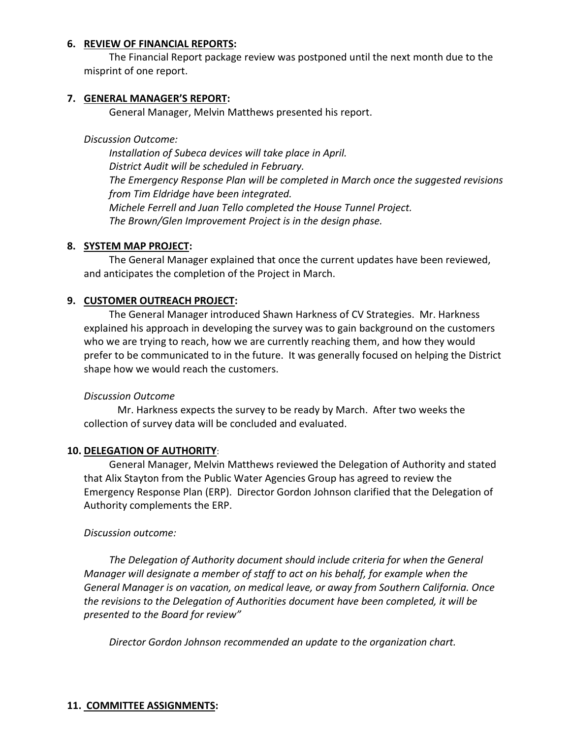#### **6. REVIEW OF FINANCIAL REPORTS:**

The Financial Report package review was postponed until the next month due to the misprint of one report.

#### **7. GENERAL MANAGER'S REPORT:**

General Manager, Melvin Matthews presented his report.

#### *Discussion Outcome:*

*Installation of Subeca devices will take place in April. District Audit will be scheduled in February. The Emergency Response Plan will be completed in March once the suggested revisions from Tim Eldridge have been integrated. Michele Ferrell and Juan Tello completed the House Tunnel Project. The Brown/Glen Improvement Project is in the design phase.* 

## **8. SYSTEM MAP PROJECT:**

The General Manager explained that once the current updates have been reviewed, and anticipates the completion of the Project in March.

## **9. CUSTOMER OUTREACH PROJECT:**

The General Manager introduced Shawn Harkness of CV Strategies. Mr. Harkness explained his approach in developing the survey was to gain background on the customers who we are trying to reach, how we are currently reaching them, and how they would prefer to be communicated to in the future. It was generally focused on helping the District shape how we would reach the customers.

## *Discussion Outcome*

Mr. Harkness expects the survey to be ready by March. After two weeks the collection of survey data will be concluded and evaluated.

## **10. DELEGATION OF AUTHORITY**:

General Manager, Melvin Matthews reviewed the Delegation of Authority and stated that Alix Stayton from the Public Water Agencies Group has agreed to review the Emergency Response Plan (ERP). Director Gordon Johnson clarified that the Delegation of Authority complements the ERP.

## *Discussion outcome:*

*The Delegation of Authority document should include criteria for when the General Manager will designate a member of staff to act on his behalf, for example when the General Manager is on vacation, on medical leave, or away from Southern California. Once the revisions to the Delegation of Authorities document have been completed, it will be presented to the Board for review"*

*Director Gordon Johnson recommended an update to the organization chart.* 

#### **11. COMMITTEE ASSIGNMENTS:**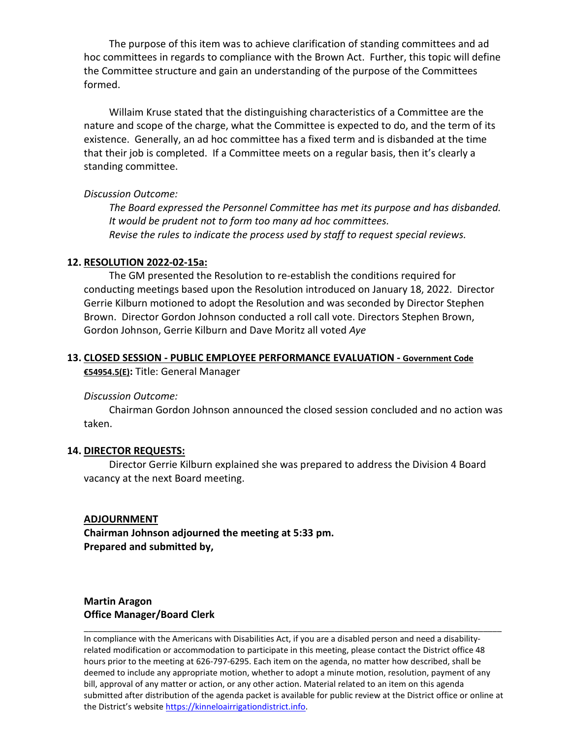The purpose of this item was to achieve clarification of standing committees and ad hoc committees in regards to compliance with the Brown Act. Further, this topic will define the Committee structure and gain an understanding of the purpose of the Committees formed.

Willaim Kruse stated that the distinguishing characteristics of a Committee are the nature and scope of the charge, what the Committee is expected to do, and the term of its existence. Generally, an ad hoc committee has a fixed term and is disbanded at the time that their job is completed. If a Committee meets on a regular basis, then it's clearly a standing committee.

#### *Discussion Outcome:*

*The Board expressed the Personnel Committee has met its purpose and has disbanded. It would be prudent not to form too many ad hoc committees. Revise the rules to indicate the process used by staff to request special reviews.*

#### **12. RESOLUTION 2022-02-15a:**

The GM presented the Resolution to re-establish the conditions required for conducting meetings based upon the Resolution introduced on January 18, 2022. Director Gerrie Kilburn motioned to adopt the Resolution and was seconded by Director Stephen Brown. Director Gordon Johnson conducted a roll call vote. Directors Stephen Brown, Gordon Johnson, Gerrie Kilburn and Dave Moritz all voted *Aye*

## **13. CLOSED SESSION - PUBLIC EMPLOYEE PERFORMANCE EVALUATION - Government Code €54954.5(E):** Title: General Manager

#### *Discussion Outcome:*

Chairman Gordon Johnson announced the closed session concluded and no action was taken.

#### **14. DIRECTOR REQUESTS:**

Director Gerrie Kilburn explained she was prepared to address the Division 4 Board vacancy at the next Board meeting.

#### **ADJOURNMENT**

**Chairman Johnson adjourned the meeting at 5:33 pm. Prepared and submitted by,**

# **Martin Aragon Office Manager/Board Clerk**

In compliance with the Americans with Disabilities Act, if you are a disabled person and need a disabilityrelated modification or accommodation to participate in this meeting, please contact the District office 48 hours prior to the meeting at 626-797-6295. Each item on the agenda, no matter how described, shall be deemed to include any appropriate motion, whether to adopt a minute motion, resolution, payment of any bill, approval of any matter or action, or any other action. Material related to an item on this agenda submitted after distribution of the agenda packet is available for public review at the District office or online at the District's websit[e https://kinneloairrigationdistrict.info.](https://kinneloairrigationdistrict.info/)

\_\_\_\_\_\_\_\_\_\_\_\_\_\_\_\_\_\_\_\_\_\_\_\_\_\_\_\_\_\_\_\_\_\_\_\_\_\_\_\_\_\_\_\_\_\_\_\_\_\_\_\_\_\_\_\_\_\_\_\_\_\_\_\_\_\_\_\_\_\_\_\_\_\_\_\_\_\_\_\_\_\_\_\_\_\_\_\_\_\_